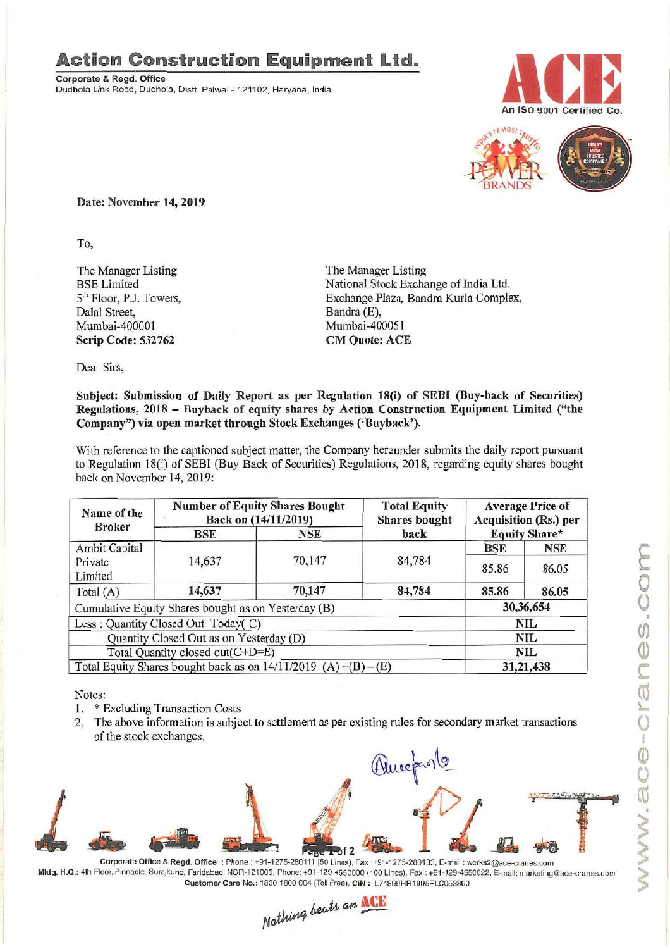## **Action Construction Equipment Ltd.**

Corporate & Regd. Office Dudhola Link Road, Dudhola, Distt. Palwal - 121102, Haryana, India





Date: November 14, 2019

To,

The Manager Listing BSELimited 5<sup>th</sup> Floor, P.J. Towers, Dalal Street, Mumbai-400001 Scrip Code: 532762

The Manager Listing National Stock Exchange of India Ltd. Exchange Plaza, Bandra Kurla Complex, Bandra (E), Mumbai-400051 CM Quote: ACE

Dear Sirs,

## Subject: Submission of Daily Report as per Regulation 18(i) of SEDI (Buy-back of Securities) Regulations, 2018 - Buyback of equity shares by Action Construction Equipment Limited ("the Company") via open market through Stock Exchanges ('Buyback').

With reference to the captioned subject matter, the Company hereunder submits the daily report pursuant to Regulation 18(i) of SEBI (Buy Back of Securities) Regulations, 2018, regarding equity shares bought back on November 14, 2019:

| Name of the<br><b>Broker</b>                                        | <b>Number of Equity Shares Bought</b><br>Back on (14/11/2019) |        | <b>Total Equity</b><br><b>Shares</b> bought | <b>Average Price of</b><br><b>Acquisition (Rs.) per</b> |            |
|---------------------------------------------------------------------|---------------------------------------------------------------|--------|---------------------------------------------|---------------------------------------------------------|------------|
|                                                                     | BSE                                                           | NSE    | back                                        | <b>Equity Share*</b>                                    |            |
| <b>Ambit Capital</b>                                                |                                                               |        |                                             | <b>BSE</b>                                              | <b>NSE</b> |
| Private<br>Limited                                                  | 14,637                                                        | 70,147 | 84,784                                      | 85.86                                                   | 86.05      |
| Total (A)                                                           | 14,637                                                        | 70,147 | 84,784                                      | 85.86                                                   | 86.05      |
| Cumulative Equity Shares bought as on Yesterday (B)                 |                                                               |        |                                             | 30,36,654                                               |            |
| Less: Quantity Closed Out Today(C)                                  |                                                               |        |                                             | NIL.                                                    |            |
| Quantity Closed Out as on Yesterday (D)                             |                                                               |        |                                             | NIL                                                     |            |
| Total Quantity closed out(C+D=E)                                    |                                                               |        |                                             | NIL                                                     |            |
| Total Equity Shares bought back as on $14/11/2019$ (A) $+(B) - (E)$ |                                                               |        |                                             | 31,21,438                                               |            |

Notes:

- 1. \* Excluding Transaction Costs
- 2. The above information is subject to settlement as per existing rules for secondary market transactions of the stock exchanges.



Mktg. H.Q.: 4th Floor, Pinnacle, Surajkund, Faridabad, NCR-121009, Phone: +91-129-4550000 (100 Lines), Fax: +91-129-4550022, E-mail: marketing@ace-cranes.com

Customer Care No.: 1800 1800 004 (Toll Free). CIN: L74899HR1995PLC053860<br>Nathing beats an **NCE**